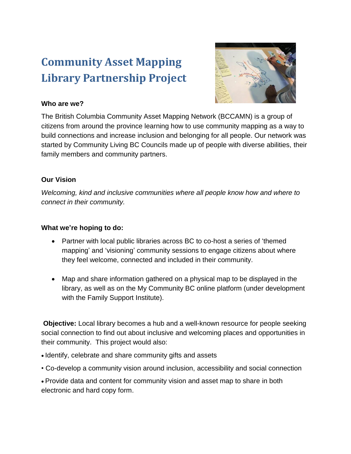# **Community Asset Mapping Library Partnership Project**



### **Who are we?**

The British Columbia Community Asset Mapping Network (BCCAMN) is a group of citizens from around the province learning how to use community mapping as a way to build connections and increase inclusion and belonging for all people. Our network was started by Community Living BC Councils made up of people with diverse abilities, their family members and community partners.

## **Our Vision**

*Welcoming, kind and inclusive communities where all people know how and where to connect in their community.*

## **What we're hoping to do:**

- Partner with local public libraries across BC to co-host a series of 'themed mapping' and 'visioning' community sessions to engage citizens about where they feel welcome, connected and included in their community.
- Map and share information gathered on a physical map to be displayed in the library, as well as on the My Community BC online platform (under development with the Family Support Institute).

**Objective:** Local library becomes a hub and a well-known resource for people seeking social connection to find out about inclusive and welcoming places and opportunities in their community. This project would also:

- Identify, celebrate and share community gifts and assets
- Co-develop a community vision around inclusion, accessibility and social connection
- Provide data and content for community vision and asset map to share in both electronic and hard copy form.